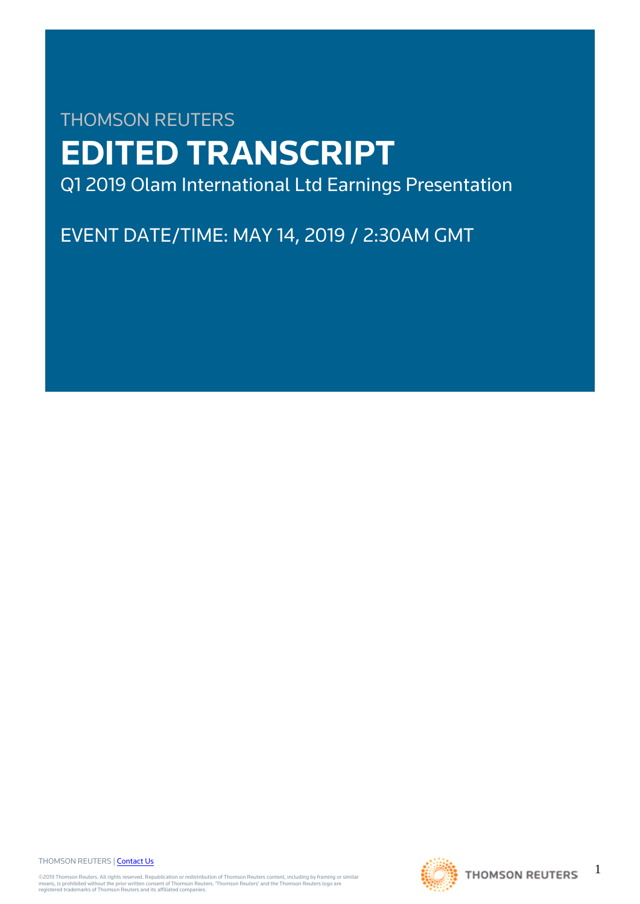# THOMSON REUTERS **EDITED TRANSCRIPT** Q1 2019 Olam International Ltd Earnings Presentation

EVENT DATE/TIME: MAY 14, 2019 / 2:30AM GMT

THOMSON REUTERS | [Contact Us](https://my.thomsonreuters.com/ContactUsNew)

©2019 Thomson Reuters. All rights reserved. Republication or redistribution of Thomson Reuters content, including by framing or similar<br>means, is prohibited without the prior written consent of Thomson Reuters. "Thomson Re

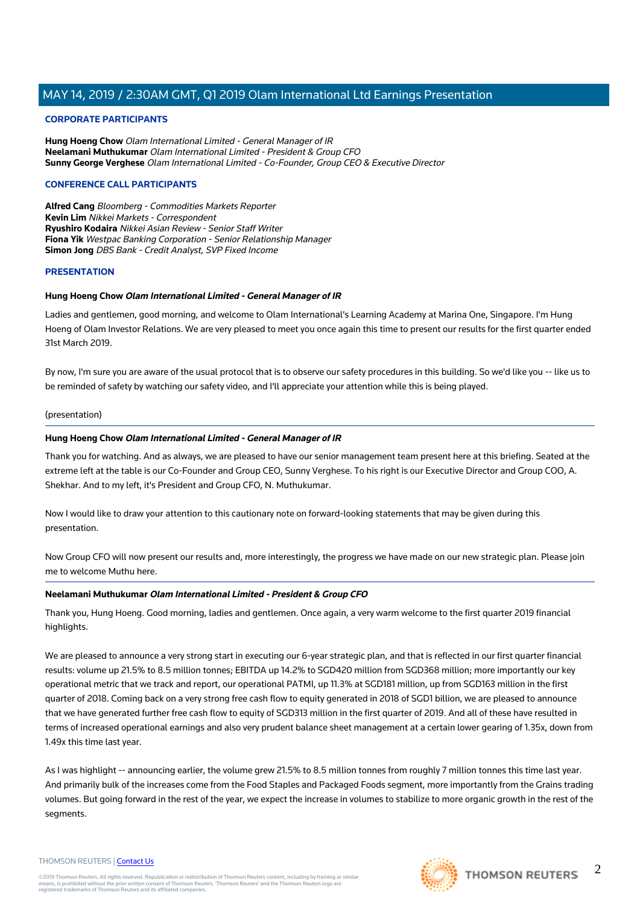#### **CORPORATE PARTICIPANTS**

**Hung Hoeng Chow** Olam International Limited - General Manager of IR **Neelamani Muthukumar** Olam International Limited - President & Group CFO **Sunny George Verghese** Olam International Limited - Co-Founder, Group CEO & Executive Director

#### **CONFERENCE CALL PARTICIPANTS**

**Alfred Cang** Bloomberg - Commodities Markets Reporter **Kevin Lim** Nikkei Markets - Correspondent **Ryushiro Kodaira** Nikkei Asian Review - Senior Staff Writer **Fiona Yik** Westpac Banking Corporation - Senior Relationship Manager **Simon Jong** DBS Bank - Credit Analyst, SVP Fixed Income

#### **PRESENTATION**

#### **Hung Hoeng Chow Olam International Limited - General Manager of IR**

Ladies and gentlemen, good morning, and welcome to Olam International's Learning Academy at Marina One, Singapore. I'm Hung Hoeng of Olam Investor Relations. We are very pleased to meet you once again this time to present our results for the first quarter ended 31st March 2019.

By now, I'm sure you are aware of the usual protocol that is to observe our safety procedures in this building. So we'd like you -- like us to be reminded of safety by watching our safety video, and I'll appreciate your attention while this is being played.

#### (presentation)

#### **Hung Hoeng Chow Olam International Limited - General Manager of IR**

Thank you for watching. And as always, we are pleased to have our senior management team present here at this briefing. Seated at the extreme left at the table is our Co-Founder and Group CEO, Sunny Verghese. To his right is our Executive Director and Group COO, A. Shekhar. And to my left, it's President and Group CFO, N. Muthukumar.

Now I would like to draw your attention to this cautionary note on forward-looking statements that may be given during this presentation.

Now Group CFO will now present our results and, more interestingly, the progress we have made on our new strategic plan. Please join me to welcome Muthu here.

#### **Neelamani Muthukumar Olam International Limited - President & Group CFO**

Thank you, Hung Hoeng. Good morning, ladies and gentlemen. Once again, a very warm welcome to the first quarter 2019 financial highlights.

We are pleased to announce a very strong start in executing our 6-year strategic plan, and that is reflected in our first quarter financial results: volume up 21.5% to 8.5 million tonnes; EBITDA up 14.2% to SGD420 million from SGD368 million; more importantly our key operational metric that we track and report, our operational PATMI, up 11.3% at SGD181 million, up from SGD163 million in the first quarter of 2018. Coming back on a very strong free cash flow to equity generated in 2018 of SGD1 billion, we are pleased to announce that we have generated further free cash flow to equity of SGD313 million in the first quarter of 2019. And all of these have resulted in terms of increased operational earnings and also very prudent balance sheet management at a certain lower gearing of 1.35x, down from 1.49x this time last year.

As I was highlight -- announcing earlier, the volume grew 21.5% to 8.5 million tonnes from roughly 7 million tonnes this time last year. And primarily bulk of the increases come from the Food Staples and Packaged Foods segment, more importantly from the Grains trading volumes. But going forward in the rest of the year, we expect the increase in volumes to stabilize to more organic growth in the rest of the segments.

#### THOMSON REUTERS | [Contact Us](https://my.thomsonreuters.com/ContactUsNew)

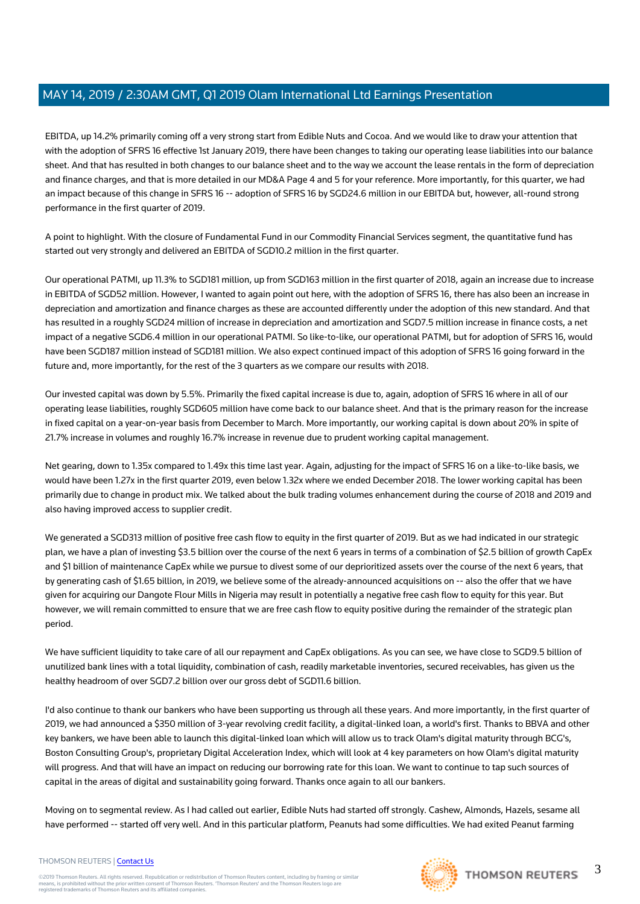EBITDA, up 14.2% primarily coming off a very strong start from Edible Nuts and Cocoa. And we would like to draw your attention that with the adoption of SFRS 16 effective 1st January 2019, there have been changes to taking our operating lease liabilities into our balance sheet. And that has resulted in both changes to our balance sheet and to the way we account the lease rentals in the form of depreciation and finance charges, and that is more detailed in our MD&A Page 4 and 5 for your reference. More importantly, for this quarter, we had an impact because of this change in SFRS 16 -- adoption of SFRS 16 by SGD24.6 million in our EBITDA but, however, all-round strong performance in the first quarter of 2019.

A point to highlight. With the closure of Fundamental Fund in our Commodity Financial Services segment, the quantitative fund has started out very strongly and delivered an EBITDA of SGD10.2 million in the first quarter.

Our operational PATMI, up 11.3% to SGD181 million, up from SGD163 million in the first quarter of 2018, again an increase due to increase in EBITDA of SGD52 million. However, I wanted to again point out here, with the adoption of SFRS 16, there has also been an increase in depreciation and amortization and finance charges as these are accounted differently under the adoption of this new standard. And that has resulted in a roughly SGD24 million of increase in depreciation and amortization and SGD7.5 million increase in finance costs, a net impact of a negative SGD6.4 million in our operational PATMI. So like-to-like, our operational PATMI, but for adoption of SFRS 16, would have been SGD187 million instead of SGD181 million. We also expect continued impact of this adoption of SFRS 16 going forward in the future and, more importantly, for the rest of the 3 quarters as we compare our results with 2018.

Our invested capital was down by 5.5%. Primarily the fixed capital increase is due to, again, adoption of SFRS 16 where in all of our operating lease liabilities, roughly SGD605 million have come back to our balance sheet. And that is the primary reason for the increase in fixed capital on a year-on-year basis from December to March. More importantly, our working capital is down about 20% in spite of 21.7% increase in volumes and roughly 16.7% increase in revenue due to prudent working capital management.

Net gearing, down to 1.35x compared to 1.49x this time last year. Again, adjusting for the impact of SFRS 16 on a like-to-like basis, we would have been 1.27x in the first quarter 2019, even below 1.32x where we ended December 2018. The lower working capital has been primarily due to change in product mix. We talked about the bulk trading volumes enhancement during the course of 2018 and 2019 and also having improved access to supplier credit.

We generated a SGD313 million of positive free cash flow to equity in the first quarter of 2019. But as we had indicated in our strategic plan, we have a plan of investing \$3.5 billion over the course of the next 6 years in terms of a combination of \$2.5 billion of growth CapEx and \$1 billion of maintenance CapEx while we pursue to divest some of our deprioritized assets over the course of the next 6 years, that by generating cash of \$1.65 billion, in 2019, we believe some of the already-announced acquisitions on -- also the offer that we have given for acquiring our Dangote Flour Mills in Nigeria may result in potentially a negative free cash flow to equity for this year. But however, we will remain committed to ensure that we are free cash flow to equity positive during the remainder of the strategic plan period.

We have sufficient liquidity to take care of all our repayment and CapEx obligations. As you can see, we have close to SGD9.5 billion of unutilized bank lines with a total liquidity, combination of cash, readily marketable inventories, secured receivables, has given us the healthy headroom of over SGD7.2 billion over our gross debt of SGD11.6 billion.

I'd also continue to thank our bankers who have been supporting us through all these years. And more importantly, in the first quarter of 2019, we had announced a \$350 million of 3-year revolving credit facility, a digital-linked loan, a world's first. Thanks to BBVA and other key bankers, we have been able to launch this digital-linked loan which will allow us to track Olam's digital maturity through BCG's, Boston Consulting Group's, proprietary Digital Acceleration Index, which will look at 4 key parameters on how Olam's digital maturity will progress. And that will have an impact on reducing our borrowing rate for this loan. We want to continue to tap such sources of capital in the areas of digital and sustainability going forward. Thanks once again to all our bankers.

Moving on to segmental review. As I had called out earlier, Edible Nuts had started off strongly. Cashew, Almonds, Hazels, sesame all have performed -- started off very well. And in this particular platform, Peanuts had some difficulties. We had exited Peanut farming

#### THOMSON REUTERS | [Contact Us](https://my.thomsonreuters.com/ContactUsNew)

©2019 Thomson Reuters. All rights reserved. Republication or redistribution of Thomson Reuters content, including by framing or similar<br>means, is prohibited without the prior written consent of Thomson Reuters. "Thomson Re

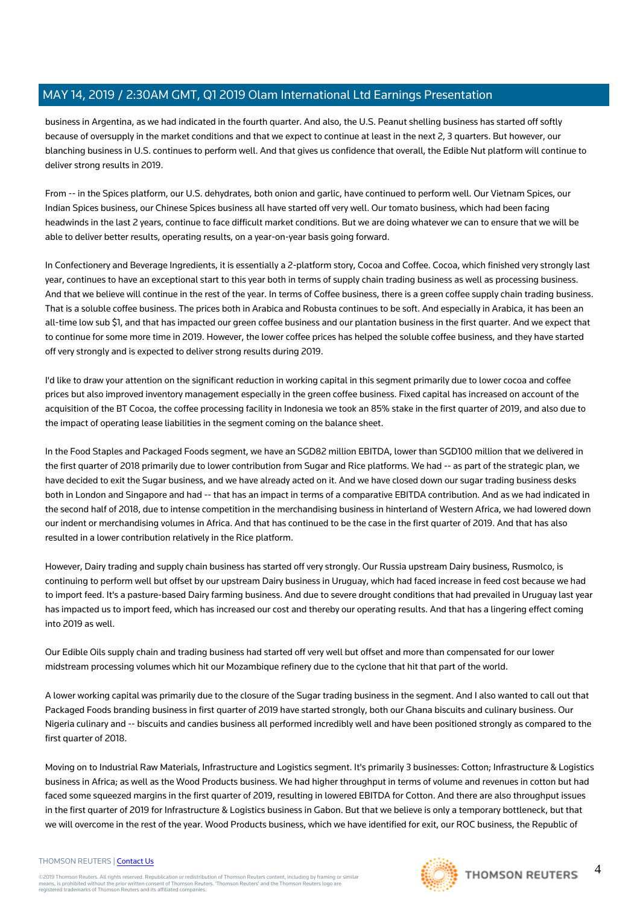business in Argentina, as we had indicated in the fourth quarter. And also, the U.S. Peanut shelling business has started off softly because of oversupply in the market conditions and that we expect to continue at least in the next 2, 3 quarters. But however, our blanching business in U.S. continues to perform well. And that gives us confidence that overall, the Edible Nut platform will continue to deliver strong results in 2019.

From -- in the Spices platform, our U.S. dehydrates, both onion and garlic, have continued to perform well. Our Vietnam Spices, our Indian Spices business, our Chinese Spices business all have started off very well. Our tomato business, which had been facing headwinds in the last 2 years, continue to face difficult market conditions. But we are doing whatever we can to ensure that we will be able to deliver better results, operating results, on a year-on-year basis going forward.

In Confectionery and Beverage Ingredients, it is essentially a 2-platform story, Cocoa and Coffee. Cocoa, which finished very strongly last year, continues to have an exceptional start to this year both in terms of supply chain trading business as well as processing business. And that we believe will continue in the rest of the year. In terms of Coffee business, there is a green coffee supply chain trading business. That is a soluble coffee business. The prices both in Arabica and Robusta continues to be soft. And especially in Arabica, it has been an all-time low sub \$1, and that has impacted our green coffee business and our plantation business in the first quarter. And we expect that to continue for some more time in 2019. However, the lower coffee prices has helped the soluble coffee business, and they have started off very strongly and is expected to deliver strong results during 2019.

I'd like to draw your attention on the significant reduction in working capital in this segment primarily due to lower cocoa and coffee prices but also improved inventory management especially in the green coffee business. Fixed capital has increased on account of the acquisition of the BT Cocoa, the coffee processing facility in Indonesia we took an 85% stake in the first quarter of 2019, and also due to the impact of operating lease liabilities in the segment coming on the balance sheet.

In the Food Staples and Packaged Foods segment, we have an SGD82 million EBITDA, lower than SGD100 million that we delivered in the first quarter of 2018 primarily due to lower contribution from Sugar and Rice platforms. We had -- as part of the strategic plan, we have decided to exit the Sugar business, and we have already acted on it. And we have closed down our sugar trading business desks both in London and Singapore and had -- that has an impact in terms of a comparative EBITDA contribution. And as we had indicated in the second half of 2018, due to intense competition in the merchandising business in hinterland of Western Africa, we had lowered down our indent or merchandising volumes in Africa. And that has continued to be the case in the first quarter of 2019. And that has also resulted in a lower contribution relatively in the Rice platform.

However, Dairy trading and supply chain business has started off very strongly. Our Russia upstream Dairy business, Rusmolco, is continuing to perform well but offset by our upstream Dairy business in Uruguay, which had faced increase in feed cost because we had to import feed. It's a pasture-based Dairy farming business. And due to severe drought conditions that had prevailed in Uruguay last year has impacted us to import feed, which has increased our cost and thereby our operating results. And that has a lingering effect coming into 2019 as well.

Our Edible Oils supply chain and trading business had started off very well but offset and more than compensated for our lower midstream processing volumes which hit our Mozambique refinery due to the cyclone that hit that part of the world.

A lower working capital was primarily due to the closure of the Sugar trading business in the segment. And I also wanted to call out that Packaged Foods branding business in first quarter of 2019 have started strongly, both our Ghana biscuits and culinary business. Our Nigeria culinary and -- biscuits and candies business all performed incredibly well and have been positioned strongly as compared to the first quarter of 2018.

Moving on to Industrial Raw Materials, Infrastructure and Logistics segment. It's primarily 3 businesses: Cotton; Infrastructure & Logistics business in Africa; as well as the Wood Products business. We had higher throughput in terms of volume and revenues in cotton but had faced some squeezed margins in the first quarter of 2019, resulting in lowered EBITDA for Cotton. And there are also throughput issues in the first quarter of 2019 for Infrastructure & Logistics business in Gabon. But that we believe is only a temporary bottleneck, but that we will overcome in the rest of the year. Wood Products business, which we have identified for exit, our ROC business, the Republic of

#### THOMSON REUTERS | [Contact Us](https://my.thomsonreuters.com/ContactUsNew)

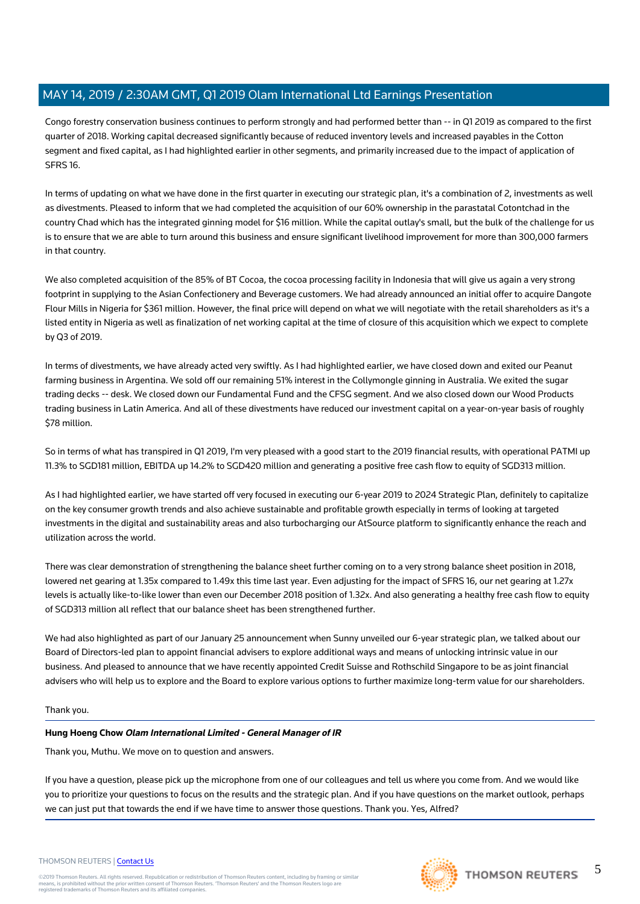Congo forestry conservation business continues to perform strongly and had performed better than -- in Q1 2019 as compared to the first quarter of 2018. Working capital decreased significantly because of reduced inventory levels and increased payables in the Cotton segment and fixed capital, as I had highlighted earlier in other segments, and primarily increased due to the impact of application of SFRS 16.

In terms of updating on what we have done in the first quarter in executing our strategic plan, it's a combination of 2, investments as well as divestments. Pleased to inform that we had completed the acquisition of our 60% ownership in the parastatal Cotontchad in the country Chad which has the integrated ginning model for \$16 million. While the capital outlay's small, but the bulk of the challenge for us is to ensure that we are able to turn around this business and ensure significant livelihood improvement for more than 300,000 farmers in that country.

We also completed acquisition of the 85% of BT Cocoa, the cocoa processing facility in Indonesia that will give us again a very strong footprint in supplying to the Asian Confectionery and Beverage customers. We had already announced an initial offer to acquire Dangote Flour Mills in Nigeria for \$361 million. However, the final price will depend on what we will negotiate with the retail shareholders as it's a listed entity in Nigeria as well as finalization of net working capital at the time of closure of this acquisition which we expect to complete by Q3 of 2019.

In terms of divestments, we have already acted very swiftly. As I had highlighted earlier, we have closed down and exited our Peanut farming business in Argentina. We sold off our remaining 51% interest in the Collymongle ginning in Australia. We exited the sugar trading decks -- desk. We closed down our Fundamental Fund and the CFSG segment. And we also closed down our Wood Products trading business in Latin America. And all of these divestments have reduced our investment capital on a year-on-year basis of roughly \$78 million.

So in terms of what has transpired in Q1 2019, I'm very pleased with a good start to the 2019 financial results, with operational PATMI up 11.3% to SGD181 million, EBITDA up 14.2% to SGD420 million and generating a positive free cash flow to equity of SGD313 million.

As I had highlighted earlier, we have started off very focused in executing our 6-year 2019 to 2024 Strategic Plan, definitely to capitalize on the key consumer growth trends and also achieve sustainable and profitable growth especially in terms of looking at targeted investments in the digital and sustainability areas and also turbocharging our AtSource platform to significantly enhance the reach and utilization across the world.

There was clear demonstration of strengthening the balance sheet further coming on to a very strong balance sheet position in 2018, lowered net gearing at 1.35x compared to 1.49x this time last year. Even adjusting for the impact of SFRS 16, our net gearing at 1.27x levels is actually like-to-like lower than even our December 2018 position of 1.32x. And also generating a healthy free cash flow to equity of SGD313 million all reflect that our balance sheet has been strengthened further.

We had also highlighted as part of our January 25 announcement when Sunny unveiled our 6-year strategic plan, we talked about our Board of Directors-led plan to appoint financial advisers to explore additional ways and means of unlocking intrinsic value in our business. And pleased to announce that we have recently appointed Credit Suisse and Rothschild Singapore to be as joint financial advisers who will help us to explore and the Board to explore various options to further maximize long-term value for our shareholders.

#### Thank you.

#### **Hung Hoeng Chow Olam International Limited - General Manager of IR**

Thank you, Muthu. We move on to question and answers.

If you have a question, please pick up the microphone from one of our colleagues and tell us where you come from. And we would like you to prioritize your questions to focus on the results and the strategic plan. And if you have questions on the market outlook, perhaps we can just put that towards the end if we have time to answer those questions. Thank you. Yes, Alfred?





#### THOMSON REUTERS | [Contact Us](https://my.thomsonreuters.com/ContactUsNew)

©2019 Thomson Reuters. All rights reserved. Republication or redistribution of Thomson Reuters content, including by framing or similar<br>means, is prohibited without the prior written consent of Thomson Reuters. "Thomson Re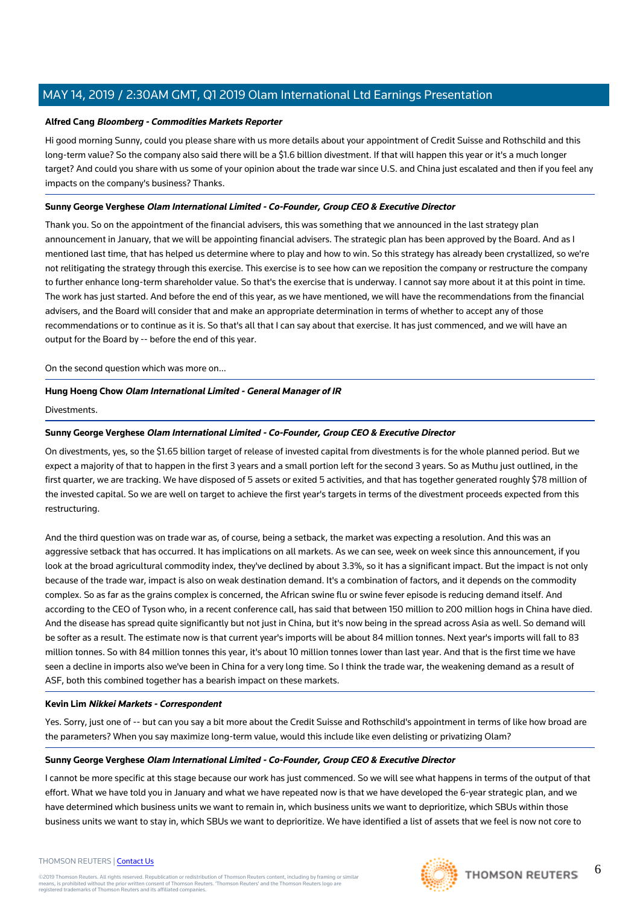#### **Alfred Cang Bloomberg - Commodities Markets Reporter**

Hi good morning Sunny, could you please share with us more details about your appointment of Credit Suisse and Rothschild and this long-term value? So the company also said there will be a \$1.6 billion divestment. If that will happen this year or it's a much longer target? And could you share with us some of your opinion about the trade war since U.S. and China just escalated and then if you feel any impacts on the company's business? Thanks.

## **Sunny George Verghese Olam International Limited - Co-Founder, Group CEO & Executive Director**

Thank you. So on the appointment of the financial advisers, this was something that we announced in the last strategy plan announcement in January, that we will be appointing financial advisers. The strategic plan has been approved by the Board. And as I mentioned last time, that has helped us determine where to play and how to win. So this strategy has already been crystallized, so we're not relitigating the strategy through this exercise. This exercise is to see how can we reposition the company or restructure the company to further enhance long-term shareholder value. So that's the exercise that is underway. I cannot say more about it at this point in time. The work has just started. And before the end of this year, as we have mentioned, we will have the recommendations from the financial advisers, and the Board will consider that and make an appropriate determination in terms of whether to accept any of those recommendations or to continue as it is. So that's all that I can say about that exercise. It has just commenced, and we will have an output for the Board by -- before the end of this year.

On the second question which was more on...

## **Hung Hoeng Chow Olam International Limited - General Manager of IR**

**Divestments** 

## **Sunny George Verghese Olam International Limited - Co-Founder, Group CEO & Executive Director**

On divestments, yes, so the \$1.65 billion target of release of invested capital from divestments is for the whole planned period. But we expect a majority of that to happen in the first 3 years and a small portion left for the second 3 years. So as Muthu just outlined, in the first quarter, we are tracking. We have disposed of 5 assets or exited 5 activities, and that has together generated roughly \$78 million of the invested capital. So we are well on target to achieve the first year's targets in terms of the divestment proceeds expected from this restructuring.

And the third question was on trade war as, of course, being a setback, the market was expecting a resolution. And this was an aggressive setback that has occurred. It has implications on all markets. As we can see, week on week since this announcement, if you look at the broad agricultural commodity index, they've declined by about 3.3%, so it has a significant impact. But the impact is not only because of the trade war, impact is also on weak destination demand. It's a combination of factors, and it depends on the commodity complex. So as far as the grains complex is concerned, the African swine flu or swine fever episode is reducing demand itself. And according to the CEO of Tyson who, in a recent conference call, has said that between 150 million to 200 million hogs in China have died. And the disease has spread quite significantly but not just in China, but it's now being in the spread across Asia as well. So demand will be softer as a result. The estimate now is that current year's imports will be about 84 million tonnes. Next year's imports will fall to 83 million tonnes. So with 84 million tonnes this year, it's about 10 million tonnes lower than last year. And that is the first time we have seen a decline in imports also we've been in China for a very long time. So I think the trade war, the weakening demand as a result of ASF, both this combined together has a bearish impact on these markets.

#### **Kevin Lim Nikkei Markets - Correspondent**

Yes. Sorry, just one of -- but can you say a bit more about the Credit Suisse and Rothschild's appointment in terms of like how broad are the parameters? When you say maximize long-term value, would this include like even delisting or privatizing Olam?

#### **Sunny George Verghese Olam International Limited - Co-Founder, Group CEO & Executive Director**

I cannot be more specific at this stage because our work has just commenced. So we will see what happens in terms of the output of that effort. What we have told you in January and what we have repeated now is that we have developed the 6-year strategic plan, and we have determined which business units we want to remain in, which business units we want to deprioritize, which SBUs within those business units we want to stay in, which SBUs we want to deprioritize. We have identified a list of assets that we feel is now not core to

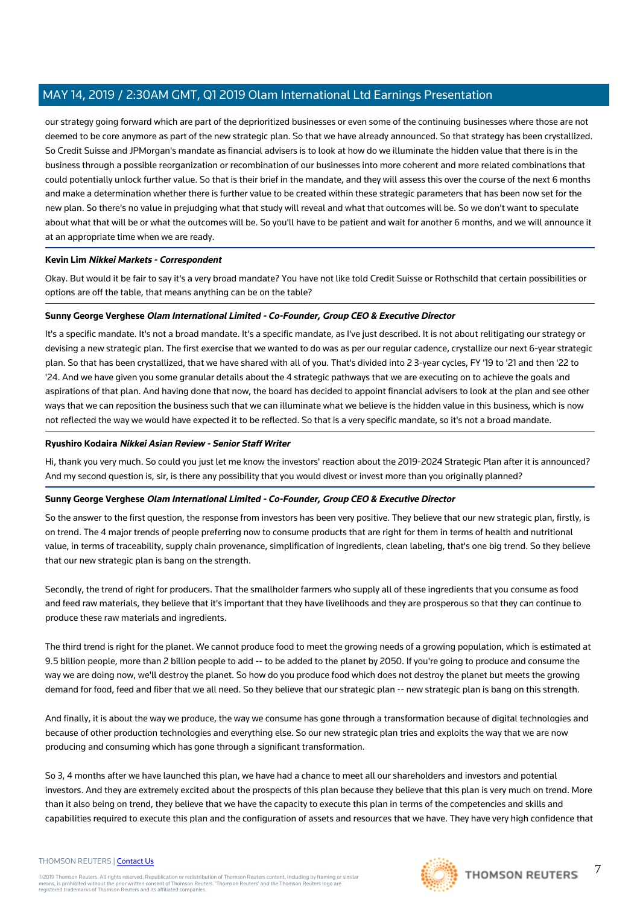our strategy going forward which are part of the deprioritized businesses or even some of the continuing businesses where those are not deemed to be core anymore as part of the new strategic plan. So that we have already announced. So that strategy has been crystallized. So Credit Suisse and JPMorgan's mandate as financial advisers is to look at how do we illuminate the hidden value that there is in the business through a possible reorganization or recombination of our businesses into more coherent and more related combinations that could potentially unlock further value. So that is their brief in the mandate, and they will assess this over the course of the next 6 months and make a determination whether there is further value to be created within these strategic parameters that has been now set for the new plan. So there's no value in prejudging what that study will reveal and what that outcomes will be. So we don't want to speculate about what that will be or what the outcomes will be. So you'll have to be patient and wait for another 6 months, and we will announce it at an appropriate time when we are ready.

#### **Kevin Lim Nikkei Markets - Correspondent**

Okay. But would it be fair to say it's a very broad mandate? You have not like told Credit Suisse or Rothschild that certain possibilities or options are off the table, that means anything can be on the table?

## **Sunny George Verghese Olam International Limited - Co-Founder, Group CEO & Executive Director**

It's a specific mandate. It's not a broad mandate. It's a specific mandate, as I've just described. It is not about relitigating our strategy or devising a new strategic plan. The first exercise that we wanted to do was as per our regular cadence, crystallize our next 6-year strategic plan. So that has been crystallized, that we have shared with all of you. That's divided into 2 3-year cycles, FY '19 to '21 and then '22 to '24. And we have given you some granular details about the 4 strategic pathways that we are executing on to achieve the goals and aspirations of that plan. And having done that now, the board has decided to appoint financial advisers to look at the plan and see other ways that we can reposition the business such that we can illuminate what we believe is the hidden value in this business, which is now not reflected the way we would have expected it to be reflected. So that is a very specific mandate, so it's not a broad mandate.

## **Ryushiro Kodaira Nikkei Asian Review - Senior Staff Writer**

Hi, thank you very much. So could you just let me know the investors' reaction about the 2019-2024 Strategic Plan after it is announced? And my second question is, sir, is there any possibility that you would divest or invest more than you originally planned?

## **Sunny George Verghese Olam International Limited - Co-Founder, Group CEO & Executive Director**

So the answer to the first question, the response from investors has been very positive. They believe that our new strategic plan, firstly, is on trend. The 4 major trends of people preferring now to consume products that are right for them in terms of health and nutritional value, in terms of traceability, supply chain provenance, simplification of ingredients, clean labeling, that's one big trend. So they believe that our new strategic plan is bang on the strength.

Secondly, the trend of right for producers. That the smallholder farmers who supply all of these ingredients that you consume as food and feed raw materials, they believe that it's important that they have livelihoods and they are prosperous so that they can continue to produce these raw materials and ingredients.

The third trend is right for the planet. We cannot produce food to meet the growing needs of a growing population, which is estimated at 9.5 billion people, more than 2 billion people to add -- to be added to the planet by 2050. If you're going to produce and consume the way we are doing now, we'll destroy the planet. So how do you produce food which does not destroy the planet but meets the growing demand for food, feed and fiber that we all need. So they believe that our strategic plan -- new strategic plan is bang on this strength.

And finally, it is about the way we produce, the way we consume has gone through a transformation because of digital technologies and because of other production technologies and everything else. So our new strategic plan tries and exploits the way that we are now producing and consuming which has gone through a significant transformation.

So 3, 4 months after we have launched this plan, we have had a chance to meet all our shareholders and investors and potential investors. And they are extremely excited about the prospects of this plan because they believe that this plan is very much on trend. More than it also being on trend, they believe that we have the capacity to execute this plan in terms of the competencies and skills and capabilities required to execute this plan and the configuration of assets and resources that we have. They have very high confidence that

©2019 Thomson Reuters. All rights reserved. Republication or redistribution of Thomson Reuters content, including by framing or similar<br>means, is prohibited without the prior written consent of Thomson Reuters. "Thomson Re

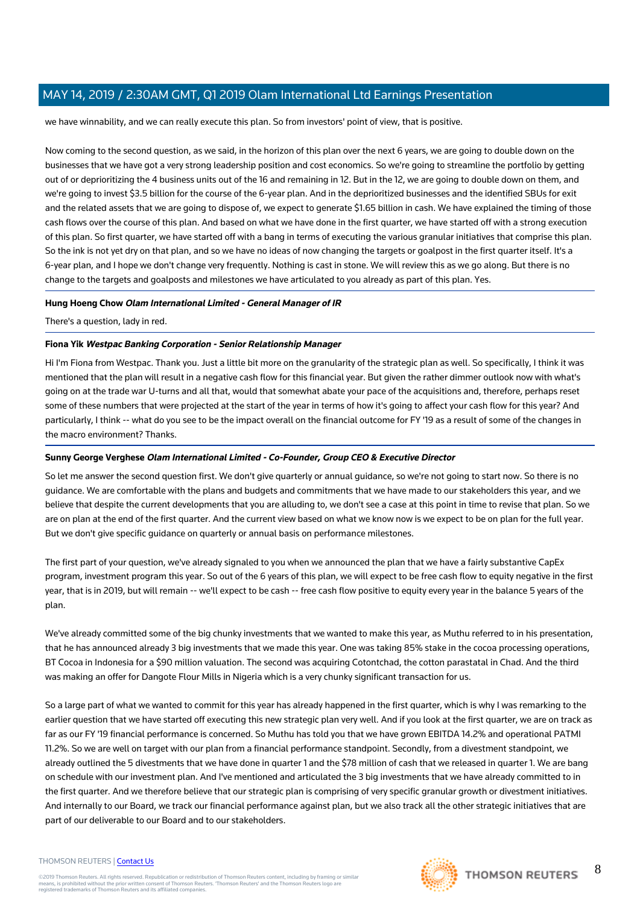we have winnability, and we can really execute this plan. So from investors' point of view, that is positive.

Now coming to the second question, as we said, in the horizon of this plan over the next 6 years, we are going to double down on the businesses that we have got a very strong leadership position and cost economics. So we're going to streamline the portfolio by getting out of or deprioritizing the 4 business units out of the 16 and remaining in 12. But in the 12, we are going to double down on them, and we're going to invest \$3.5 billion for the course of the 6-year plan. And in the deprioritized businesses and the identified SBUs for exit and the related assets that we are going to dispose of, we expect to generate \$1.65 billion in cash. We have explained the timing of those cash flows over the course of this plan. And based on what we have done in the first quarter, we have started off with a strong execution of this plan. So first quarter, we have started off with a bang in terms of executing the various granular initiatives that comprise this plan. So the ink is not yet dry on that plan, and so we have no ideas of now changing the targets or goalpost in the first quarter itself. It's a 6-year plan, and I hope we don't change very frequently. Nothing is cast in stone. We will review this as we go along. But there is no change to the targets and goalposts and milestones we have articulated to you already as part of this plan. Yes.

## **Hung Hoeng Chow Olam International Limited - General Manager of IR**

There's a question, lady in red.

#### **Fiona Yik Westpac Banking Corporation - Senior Relationship Manager**

Hi I'm Fiona from Westpac. Thank you. Just a little bit more on the granularity of the strategic plan as well. So specifically, I think it was mentioned that the plan will result in a negative cash flow for this financial year. But given the rather dimmer outlook now with what's going on at the trade war U-turns and all that, would that somewhat abate your pace of the acquisitions and, therefore, perhaps reset some of these numbers that were projected at the start of the year in terms of how it's going to affect your cash flow for this year? And particularly, I think -- what do you see to be the impact overall on the financial outcome for FY '19 as a result of some of the changes in the macro environment? Thanks.

#### **Sunny George Verghese Olam International Limited - Co-Founder, Group CEO & Executive Director**

So let me answer the second question first. We don't give quarterly or annual guidance, so we're not going to start now. So there is no guidance. We are comfortable with the plans and budgets and commitments that we have made to our stakeholders this year, and we believe that despite the current developments that you are alluding to, we don't see a case at this point in time to revise that plan. So we are on plan at the end of the first quarter. And the current view based on what we know now is we expect to be on plan for the full year. But we don't give specific guidance on quarterly or annual basis on performance milestones.

The first part of your question, we've already signaled to you when we announced the plan that we have a fairly substantive CapEx program, investment program this year. So out of the 6 years of this plan, we will expect to be free cash flow to equity negative in the first year, that is in 2019, but will remain -- we'll expect to be cash -- free cash flow positive to equity every year in the balance 5 years of the plan.

We've already committed some of the big chunky investments that we wanted to make this year, as Muthu referred to in his presentation, that he has announced already 3 big investments that we made this year. One was taking 85% stake in the cocoa processing operations, BT Cocoa in Indonesia for a \$90 million valuation. The second was acquiring Cotontchad, the cotton parastatal in Chad. And the third was making an offer for Dangote Flour Mills in Nigeria which is a very chunky significant transaction for us.

So a large part of what we wanted to commit for this year has already happened in the first quarter, which is why I was remarking to the earlier question that we have started off executing this new strategic plan very well. And if you look at the first quarter, we are on track as far as our FY '19 financial performance is concerned. So Muthu has told you that we have grown EBITDA 14.2% and operational PATMI 11.2%. So we are well on target with our plan from a financial performance standpoint. Secondly, from a divestment standpoint, we already outlined the 5 divestments that we have done in quarter 1 and the \$78 million of cash that we released in quarter 1. We are bang on schedule with our investment plan. And I've mentioned and articulated the 3 big investments that we have already committed to in the first quarter. And we therefore believe that our strategic plan is comprising of very specific granular growth or divestment initiatives. And internally to our Board, we track our financial performance against plan, but we also track all the other strategic initiatives that are part of our deliverable to our Board and to our stakeholders.

#### THOMSON REUTERS | [Contact Us](https://my.thomsonreuters.com/ContactUsNew)

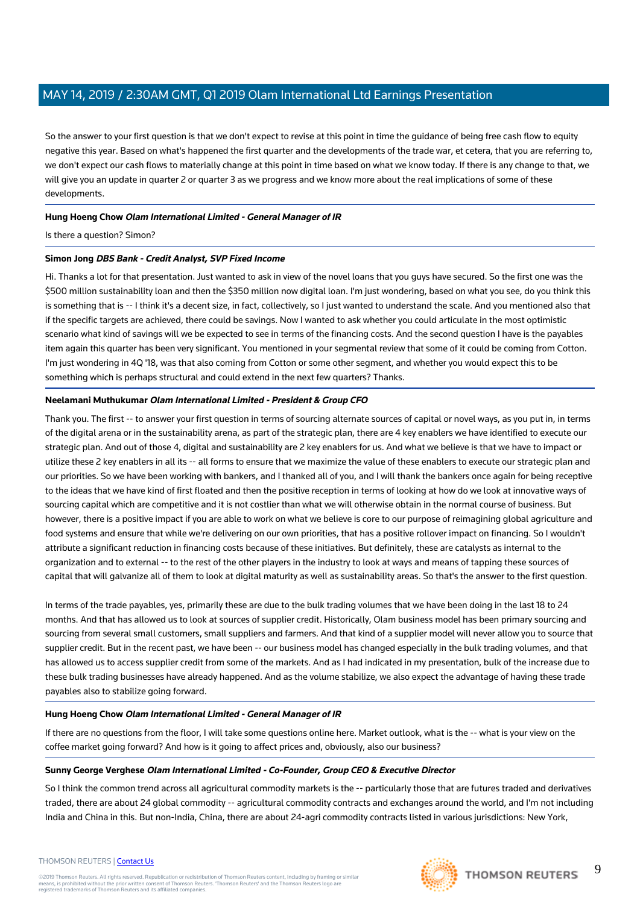So the answer to your first question is that we don't expect to revise at this point in time the guidance of being free cash flow to equity negative this year. Based on what's happened the first quarter and the developments of the trade war, et cetera, that you are referring to, we don't expect our cash flows to materially change at this point in time based on what we know today. If there is any change to that, we will give you an update in quarter 2 or quarter 3 as we progress and we know more about the real implications of some of these developments.

## **Hung Hoeng Chow Olam International Limited - General Manager of IR**

Is there a question? Simon?

#### **Simon Jong DBS Bank - Credit Analyst, SVP Fixed Income**

Hi. Thanks a lot for that presentation. Just wanted to ask in view of the novel loans that you guys have secured. So the first one was the \$500 million sustainability loan and then the \$350 million now digital loan. I'm just wondering, based on what you see, do you think this is something that is -- I think it's a decent size, in fact, collectively, so I just wanted to understand the scale. And you mentioned also that if the specific targets are achieved, there could be savings. Now I wanted to ask whether you could articulate in the most optimistic scenario what kind of savings will we be expected to see in terms of the financing costs. And the second question I have is the payables item again this quarter has been very significant. You mentioned in your segmental review that some of it could be coming from Cotton. I'm just wondering in 4Q '18, was that also coming from Cotton or some other segment, and whether you would expect this to be something which is perhaps structural and could extend in the next few quarters? Thanks.

#### **Neelamani Muthukumar Olam International Limited - President & Group CFO**

Thank you. The first -- to answer your first question in terms of sourcing alternate sources of capital or novel ways, as you put in, in terms of the digital arena or in the sustainability arena, as part of the strategic plan, there are 4 key enablers we have identified to execute our strategic plan. And out of those 4, digital and sustainability are 2 key enablers for us. And what we believe is that we have to impact or utilize these 2 key enablers in all its -- all forms to ensure that we maximize the value of these enablers to execute our strategic plan and our priorities. So we have been working with bankers, and I thanked all of you, and I will thank the bankers once again for being receptive to the ideas that we have kind of first floated and then the positive reception in terms of looking at how do we look at innovative ways of sourcing capital which are competitive and it is not costlier than what we will otherwise obtain in the normal course of business. But however, there is a positive impact if you are able to work on what we believe is core to our purpose of reimagining global agriculture and food systems and ensure that while we're delivering on our own priorities, that has a positive rollover impact on financing. So I wouldn't attribute a significant reduction in financing costs because of these initiatives. But definitely, these are catalysts as internal to the organization and to external -- to the rest of the other players in the industry to look at ways and means of tapping these sources of capital that will galvanize all of them to look at digital maturity as well as sustainability areas. So that's the answer to the first question.

In terms of the trade payables, yes, primarily these are due to the bulk trading volumes that we have been doing in the last 18 to 24 months. And that has allowed us to look at sources of supplier credit. Historically, Olam business model has been primary sourcing and sourcing from several small customers, small suppliers and farmers. And that kind of a supplier model will never allow you to source that supplier credit. But in the recent past, we have been -- our business model has changed especially in the bulk trading volumes, and that has allowed us to access supplier credit from some of the markets. And as I had indicated in my presentation, bulk of the increase due to these bulk trading businesses have already happened. And as the volume stabilize, we also expect the advantage of having these trade payables also to stabilize going forward.

#### **Hung Hoeng Chow Olam International Limited - General Manager of IR**

If there are no questions from the floor, I will take some questions online here. Market outlook, what is the -- what is your view on the coffee market going forward? And how is it going to affect prices and, obviously, also our business?

#### **Sunny George Verghese Olam International Limited - Co-Founder, Group CEO & Executive Director**

So I think the common trend across all agricultural commodity markets is the -- particularly those that are futures traded and derivatives traded, there are about 24 global commodity -- agricultural commodity contracts and exchanges around the world, and I'm not including India and China in this. But non-India, China, there are about 24-agri commodity contracts listed in various jurisdictions: New York,

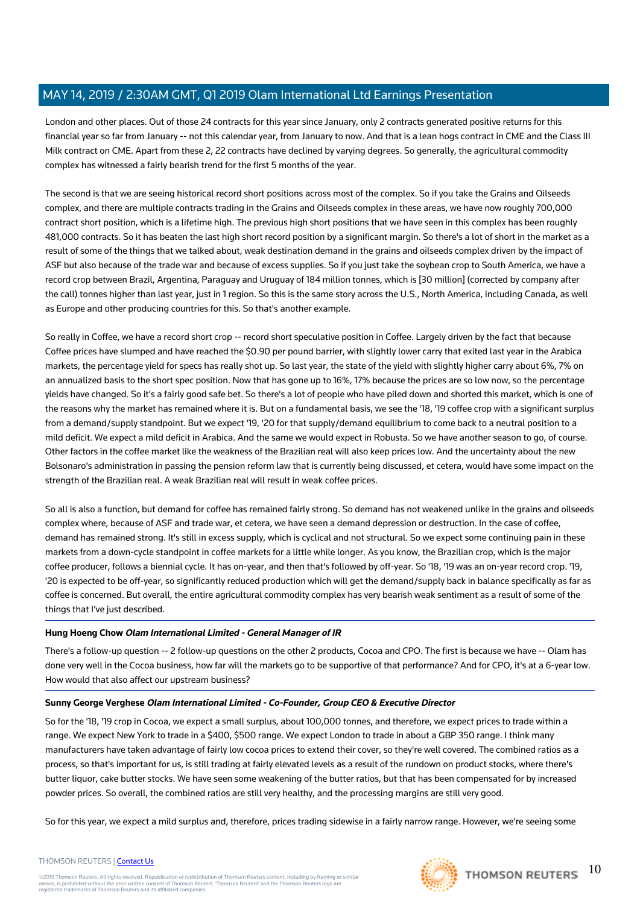London and other places. Out of those 24 contracts for this year since January, only 2 contracts generated positive returns for this financial year so far from January -- not this calendar year, from January to now. And that is a lean hogs contract in CME and the Class III Milk contract on CME. Apart from these 2, 22 contracts have declined by varying degrees. So generally, the agricultural commodity complex has witnessed a fairly bearish trend for the first 5 months of the year.

The second is that we are seeing historical record short positions across most of the complex. So if you take the Grains and Oilseeds complex, and there are multiple contracts trading in the Grains and Oilseeds complex in these areas, we have now roughly 700,000 contract short position, which is a lifetime high. The previous high short positions that we have seen in this complex has been roughly 481,000 contracts. So it has beaten the last high short record position by a significant margin. So there's a lot of short in the market as a result of some of the things that we talked about, weak destination demand in the grains and oilseeds complex driven by the impact of ASF but also because of the trade war and because of excess supplies. So if you just take the soybean crop to South America, we have a record crop between Brazil, Argentina, Paraguay and Uruguay of 184 million tonnes, which is [30 million] (corrected by company after the call) tonnes higher than last year, just in 1 region. So this is the same story across the U.S., North America, including Canada, as well as Europe and other producing countries for this. So that's another example.

So really in Coffee, we have a record short crop -- record short speculative position in Coffee. Largely driven by the fact that because Coffee prices have slumped and have reached the \$0.90 per pound barrier, with slightly lower carry that exited last year in the Arabica markets, the percentage yield for specs has really shot up. So last year, the state of the yield with slightly higher carry about 6%, 7% on an annualized basis to the short spec position. Now that has gone up to 16%, 17% because the prices are so low now, so the percentage yields have changed. So it's a fairly good safe bet. So there's a lot of people who have piled down and shorted this market, which is one of the reasons why the market has remained where it is. But on a fundamental basis, we see the '18, '19 coffee crop with a significant surplus from a demand/supply standpoint. But we expect '19, '20 for that supply/demand equilibrium to come back to a neutral position to a mild deficit. We expect a mild deficit in Arabica. And the same we would expect in Robusta. So we have another season to go, of course. Other factors in the coffee market like the weakness of the Brazilian real will also keep prices low. And the uncertainty about the new Bolsonaro's administration in passing the pension reform law that is currently being discussed, et cetera, would have some impact on the strength of the Brazilian real. A weak Brazilian real will result in weak coffee prices.

So all is also a function, but demand for coffee has remained fairly strong. So demand has not weakened unlike in the grains and oilseeds complex where, because of ASF and trade war, et cetera, we have seen a demand depression or destruction. In the case of coffee, demand has remained strong. It's still in excess supply, which is cyclical and not structural. So we expect some continuing pain in these markets from a down-cycle standpoint in coffee markets for a little while longer. As you know, the Brazilian crop, which is the major coffee producer, follows a biennial cycle. It has on-year, and then that's followed by off-year. So '18, '19 was an on-year record crop. '19, '20 is expected to be off-year, so significantly reduced production which will get the demand/supply back in balance specifically as far as coffee is concerned. But overall, the entire agricultural commodity complex has very bearish weak sentiment as a result of some of the things that I've just described.

#### **Hung Hoeng Chow Olam International Limited - General Manager of IR**

There's a follow-up question -- 2 follow-up questions on the other 2 products, Cocoa and CPO. The first is because we have -- Olam has done very well in the Cocoa business, how far will the markets go to be supportive of that performance? And for CPO, it's at a 6-year low. How would that also affect our upstream business?

#### **Sunny George Verghese Olam International Limited - Co-Founder, Group CEO & Executive Director**

So for the '18, '19 crop in Cocoa, we expect a small surplus, about 100,000 tonnes, and therefore, we expect prices to trade within a range. We expect New York to trade in a \$400, \$500 range. We expect London to trade in about a GBP 350 range. I think many manufacturers have taken advantage of fairly low cocoa prices to extend their cover, so they're well covered. The combined ratios as a process, so that's important for us, is still trading at fairly elevated levels as a result of the rundown on product stocks, where there's butter liquor, cake butter stocks. We have seen some weakening of the butter ratios, but that has been compensated for by increased powder prices. So overall, the combined ratios are still very healthy, and the processing margins are still very good.

So for this year, we expect a mild surplus and, therefore, prices trading sidewise in a fairly narrow range. However, we're seeing some

#### THOMSON REUTERS | [Contact Us](https://my.thomsonreuters.com/ContactUsNew)

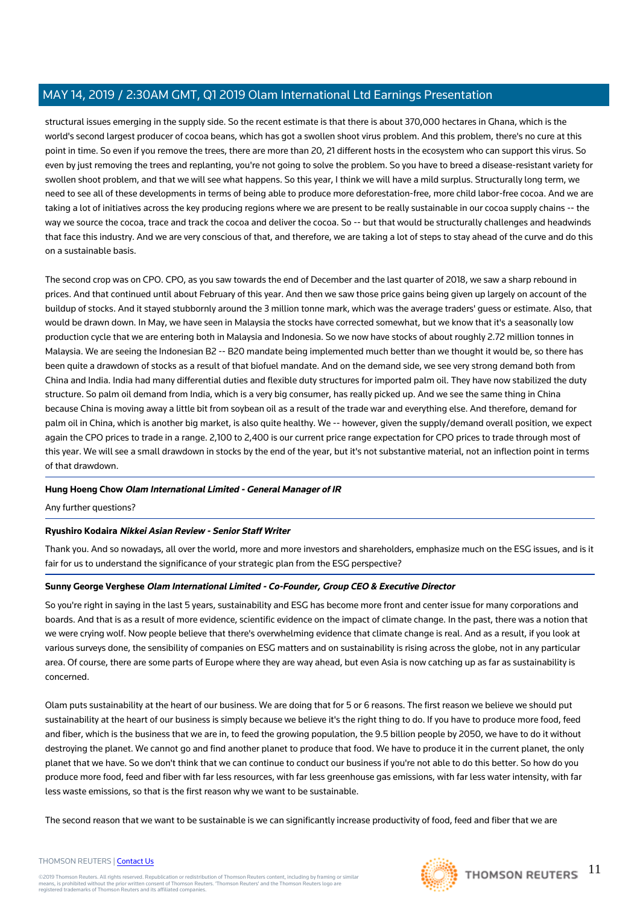structural issues emerging in the supply side. So the recent estimate is that there is about 370,000 hectares in Ghana, which is the world's second largest producer of cocoa beans, which has got a swollen shoot virus problem. And this problem, there's no cure at this point in time. So even if you remove the trees, there are more than 20, 21 different hosts in the ecosystem who can support this virus. So even by just removing the trees and replanting, you're not going to solve the problem. So you have to breed a disease-resistant variety for swollen shoot problem, and that we will see what happens. So this year, I think we will have a mild surplus. Structurally long term, we need to see all of these developments in terms of being able to produce more deforestation-free, more child labor-free cocoa. And we are taking a lot of initiatives across the key producing regions where we are present to be really sustainable in our cocoa supply chains -- the way we source the cocoa, trace and track the cocoa and deliver the cocoa. So -- but that would be structurally challenges and headwinds that face this industry. And we are very conscious of that, and therefore, we are taking a lot of steps to stay ahead of the curve and do this on a sustainable basis.

The second crop was on CPO. CPO, as you saw towards the end of December and the last quarter of 2018, we saw a sharp rebound in prices. And that continued until about February of this year. And then we saw those price gains being given up largely on account of the buildup of stocks. And it stayed stubbornly around the 3 million tonne mark, which was the average traders' guess or estimate. Also, that would be drawn down. In May, we have seen in Malaysia the stocks have corrected somewhat, but we know that it's a seasonally low production cycle that we are entering both in Malaysia and Indonesia. So we now have stocks of about roughly 2.72 million tonnes in Malaysia. We are seeing the Indonesian B2 -- B20 mandate being implemented much better than we thought it would be, so there has been quite a drawdown of stocks as a result of that biofuel mandate. And on the demand side, we see very strong demand both from China and India. India had many differential duties and flexible duty structures for imported palm oil. They have now stabilized the duty structure. So palm oil demand from India, which is a very big consumer, has really picked up. And we see the same thing in China because China is moving away a little bit from soybean oil as a result of the trade war and everything else. And therefore, demand for palm oil in China, which is another big market, is also quite healthy. We -- however, given the supply/demand overall position, we expect again the CPO prices to trade in a range. 2,100 to 2,400 is our current price range expectation for CPO prices to trade through most of this year. We will see a small drawdown in stocks by the end of the year, but it's not substantive material, not an inflection point in terms of that drawdown.

## **Hung Hoeng Chow Olam International Limited - General Manager of IR**

Any further questions?

#### **Ryushiro Kodaira Nikkei Asian Review - Senior Staff Writer**

Thank you. And so nowadays, all over the world, more and more investors and shareholders, emphasize much on the ESG issues, and is it fair for us to understand the significance of your strategic plan from the ESG perspective?

#### **Sunny George Verghese Olam International Limited - Co-Founder, Group CEO & Executive Director**

So you're right in saying in the last 5 years, sustainability and ESG has become more front and center issue for many corporations and boards. And that is as a result of more evidence, scientific evidence on the impact of climate change. In the past, there was a notion that we were crying wolf. Now people believe that there's overwhelming evidence that climate change is real. And as a result, if you look at various surveys done, the sensibility of companies on ESG matters and on sustainability is rising across the globe, not in any particular area. Of course, there are some parts of Europe where they are way ahead, but even Asia is now catching up as far as sustainability is concerned.

Olam puts sustainability at the heart of our business. We are doing that for 5 or 6 reasons. The first reason we believe we should put sustainability at the heart of our business is simply because we believe it's the right thing to do. If you have to produce more food, feed and fiber, which is the business that we are in, to feed the growing population, the 9.5 billion people by 2050, we have to do it without destroying the planet. We cannot go and find another planet to produce that food. We have to produce it in the current planet, the only planet that we have. So we don't think that we can continue to conduct our business if you're not able to do this better. So how do you produce more food, feed and fiber with far less resources, with far less greenhouse gas emissions, with far less water intensity, with far less waste emissions, so that is the first reason why we want to be sustainable.

The second reason that we want to be sustainable is we can significantly increase productivity of food, feed and fiber that we are

#### THOMSON REUTERS | [Contact Us](https://my.thomsonreuters.com/ContactUsNew)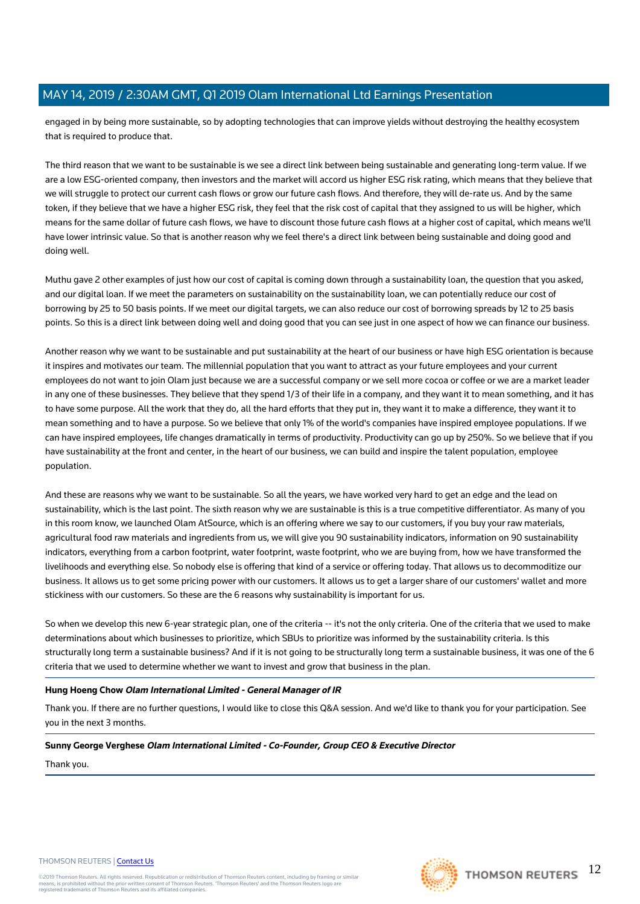engaged in by being more sustainable, so by adopting technologies that can improve yields without destroying the healthy ecosystem that is required to produce that.

The third reason that we want to be sustainable is we see a direct link between being sustainable and generating long-term value. If we are a low ESG-oriented company, then investors and the market will accord us higher ESG risk rating, which means that they believe that we will struggle to protect our current cash flows or grow our future cash flows. And therefore, they will de-rate us. And by the same token, if they believe that we have a higher ESG risk, they feel that the risk cost of capital that they assigned to us will be higher, which means for the same dollar of future cash flows, we have to discount those future cash flows at a higher cost of capital, which means we'll have lower intrinsic value. So that is another reason why we feel there's a direct link between being sustainable and doing good and doing well.

Muthu gave 2 other examples of just how our cost of capital is coming down through a sustainability loan, the question that you asked, and our digital loan. If we meet the parameters on sustainability on the sustainability loan, we can potentially reduce our cost of borrowing by 25 to 50 basis points. If we meet our digital targets, we can also reduce our cost of borrowing spreads by 12 to 25 basis points. So this is a direct link between doing well and doing good that you can see just in one aspect of how we can finance our business.

Another reason why we want to be sustainable and put sustainability at the heart of our business or have high ESG orientation is because it inspires and motivates our team. The millennial population that you want to attract as your future employees and your current employees do not want to join Olam just because we are a successful company or we sell more cocoa or coffee or we are a market leader in any one of these businesses. They believe that they spend 1/3 of their life in a company, and they want it to mean something, and it has to have some purpose. All the work that they do, all the hard efforts that they put in, they want it to make a difference, they want it to mean something and to have a purpose. So we believe that only 1% of the world's companies have inspired employee populations. If we can have inspired employees, life changes dramatically in terms of productivity. Productivity can go up by 250%. So we believe that if you have sustainability at the front and center, in the heart of our business, we can build and inspire the talent population, employee population.

And these are reasons why we want to be sustainable. So all the years, we have worked very hard to get an edge and the lead on sustainability, which is the last point. The sixth reason why we are sustainable is this is a true competitive differentiator. As many of you in this room know, we launched Olam AtSource, which is an offering where we say to our customers, if you buy your raw materials, agricultural food raw materials and ingredients from us, we will give you 90 sustainability indicators, information on 90 sustainability indicators, everything from a carbon footprint, water footprint, waste footprint, who we are buying from, how we have transformed the livelihoods and everything else. So nobody else is offering that kind of a service or offering today. That allows us to decommoditize our business. It allows us to get some pricing power with our customers. It allows us to get a larger share of our customers' wallet and more stickiness with our customers. So these are the 6 reasons why sustainability is important for us.

So when we develop this new 6-year strategic plan, one of the criteria -- it's not the only criteria. One of the criteria that we used to make determinations about which businesses to prioritize, which SBUs to prioritize was informed by the sustainability criteria. Is this structurally long term a sustainable business? And if it is not going to be structurally long term a sustainable business, it was one of the 6 criteria that we used to determine whether we want to invest and grow that business in the plan.

#### **Hung Hoeng Chow Olam International Limited - General Manager of IR**

Thank you. If there are no further questions, I would like to close this Q&A session. And we'd like to thank you for your participation. See you in the next 3 months.

#### **Sunny George Verghese Olam International Limited - Co-Founder, Group CEO & Executive Director**

Thank you.